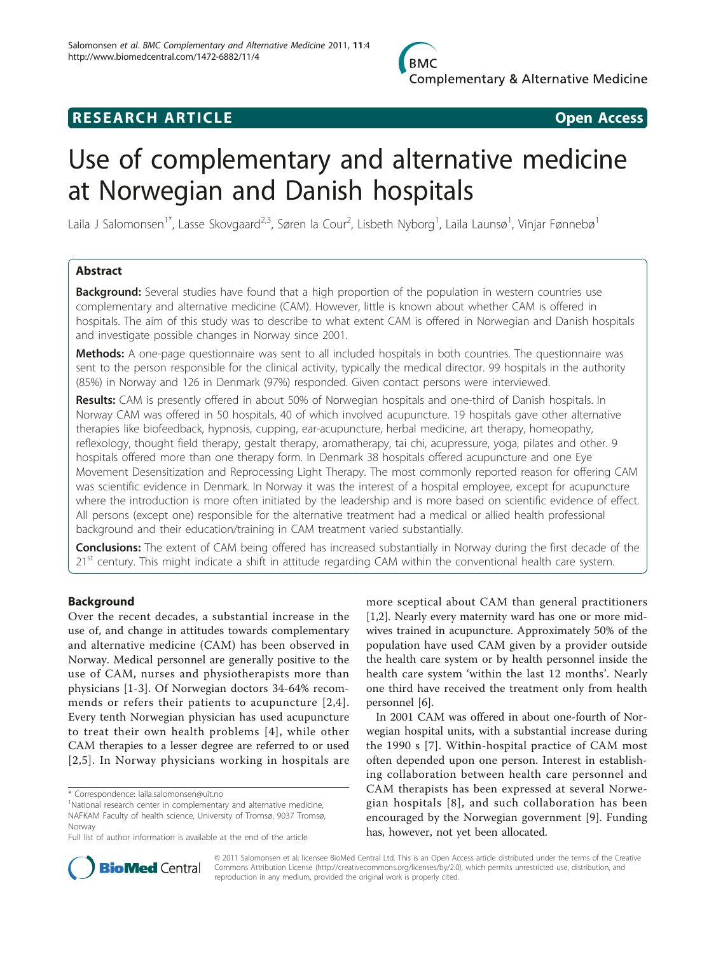## **RESEARCH ARTICLE Example 2018 CONSIDERING ACCESS**

# Use of complementary and alternative medicine at Norwegian and Danish hospitals

Laila J Salomonsen<sup>1\*</sup>, Lasse Skovgaard<sup>2,3</sup>, Søren la Cour<sup>2</sup>, Lisbeth Nyborg<sup>1</sup>, Laila Launsø<sup>1</sup>, Vinjar Fønnebø<sup>1</sup>

## Abstract

**Background:** Several studies have found that a high proportion of the population in western countries use complementary and alternative medicine (CAM). However, little is known about whether CAM is offered in hospitals. The aim of this study was to describe to what extent CAM is offered in Norwegian and Danish hospitals and investigate possible changes in Norway since 2001.

Methods: A one-page questionnaire was sent to all included hospitals in both countries. The questionnaire was sent to the person responsible for the clinical activity, typically the medical director. 99 hospitals in the authority (85%) in Norway and 126 in Denmark (97%) responded. Given contact persons were interviewed.

Results: CAM is presently offered in about 50% of Norwegian hospitals and one-third of Danish hospitals. In Norway CAM was offered in 50 hospitals, 40 of which involved acupuncture. 19 hospitals gave other alternative therapies like biofeedback, hypnosis, cupping, ear-acupuncture, herbal medicine, art therapy, homeopathy, reflexology, thought field therapy, gestalt therapy, aromatherapy, tai chi, acupressure, yoga, pilates and other. 9 hospitals offered more than one therapy form. In Denmark 38 hospitals offered acupuncture and one Eye Movement Desensitization and Reprocessing Light Therapy. The most commonly reported reason for offering CAM was scientific evidence in Denmark. In Norway it was the interest of a hospital employee, except for acupuncture where the introduction is more often initiated by the leadership and is more based on scientific evidence of effect. All persons (except one) responsible for the alternative treatment had a medical or allied health professional background and their education/training in CAM treatment varied substantially.

Conclusions: The extent of CAM being offered has increased substantially in Norway during the first decade of the  $21<sup>st</sup>$  century. This might indicate a shift in attitude regarding CAM within the conventional health care system.

## Background

Over the recent decades, a substantial increase in the use of, and change in attitudes towards complementary and alternative medicine (CAM) has been observed in Norway. Medical personnel are generally positive to the use of CAM, nurses and physiotherapists more than physicians [\[1](#page-7-0)-[3](#page-7-0)]. Of Norwegian doctors 34-64% recom-mends or refers their patients to acupuncture [[2,4\]](#page-7-0). Every tenth Norwegian physician has used acupuncture to treat their own health problems [[4\]](#page-7-0), while other CAM therapies to a lesser degree are referred to or used [[2](#page-7-0),[5](#page-7-0)]. In Norway physicians working in hospitals are

more sceptical about CAM than general practitioners [[1,2\]](#page-7-0). Nearly every maternity ward has one or more midwives trained in acupuncture. Approximately 50% of the population have used CAM given by a provider outside the health care system or by health personnel inside the health care system 'within the last 12 months'. Nearly one third have received the treatment only from health personnel [[6\]](#page-7-0).

In 2001 CAM was offered in about one-fourth of Norwegian hospital units, with a substantial increase during the 1990 s [\[7\]](#page-7-0). Within-hospital practice of CAM most often depended upon one person. Interest in establishing collaboration between health care personnel and CAM therapists has been expressed at several Norwegian hospitals [[8\]](#page-7-0), and such collaboration has been encouraged by the Norwegian government [[9](#page-7-0)]. Funding has, however, not yet been allocated.



© 2011 Salomonsen et al; licensee BioMed Central Ltd. This is an Open Access article distributed under the terms of the Creative Commons Attribution License [\(http://creativecommons.org/licenses/by/2.0](http://creativecommons.org/licenses/by/2.0)), which permits unrestricted use, distribution, and reproduction in any medium, provided the original work is properly cited.

<sup>\*</sup> Correspondence: [laila.salomonsen@uit.no](mailto:laila.salomonsen@uit.no)

<sup>&</sup>lt;sup>1</sup>National research center in complementary and alternative medicine, NAFKAM Faculty of health science, University of Tromsø, 9037 Tromsø, Norway

Full list of author information is available at the end of the article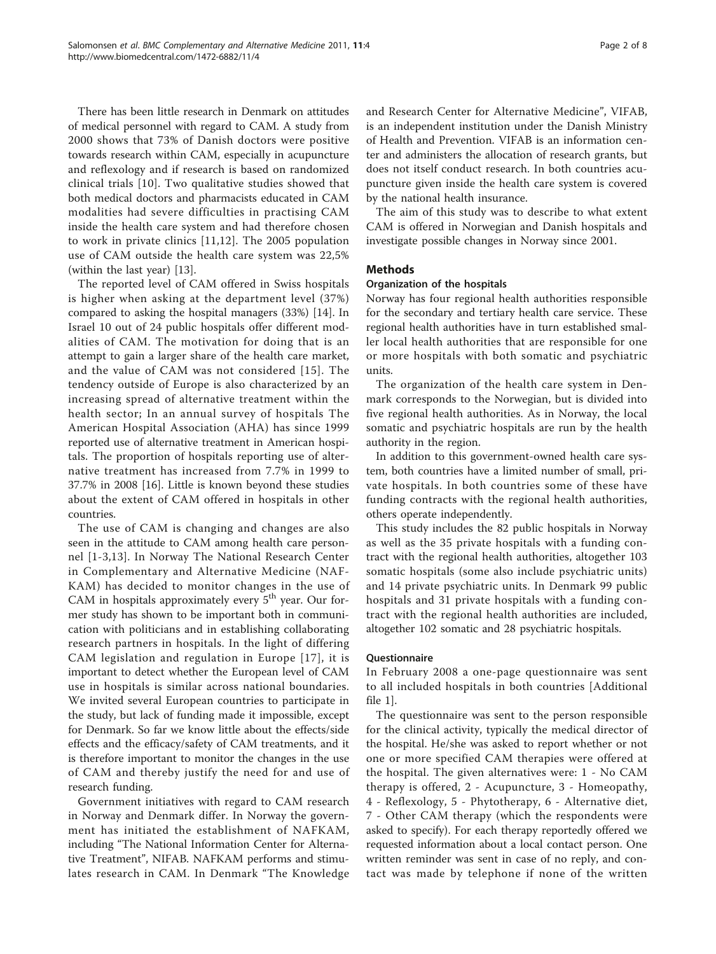There has been little research in Denmark on attitudes of medical personnel with regard to CAM. A study from 2000 shows that 73% of Danish doctors were positive towards research within CAM, especially in acupuncture and reflexology and if research is based on randomized clinical trials [[10\]](#page-7-0). Two qualitative studies showed that

both medical doctors and pharmacists educated in CAM modalities had severe difficulties in practising CAM inside the health care system and had therefore chosen to work in private clinics [\[11](#page-7-0),[12\]](#page-7-0). The 2005 population use of CAM outside the health care system was 22,5% (within the last year) [\[13](#page-7-0)].

The reported level of CAM offered in Swiss hospitals is higher when asking at the department level (37%) compared to asking the hospital managers (33%) [[14](#page-7-0)]. In Israel 10 out of 24 public hospitals offer different modalities of CAM. The motivation for doing that is an attempt to gain a larger share of the health care market, and the value of CAM was not considered [\[15\]](#page-7-0). The tendency outside of Europe is also characterized by an increasing spread of alternative treatment within the health sector; In an annual survey of hospitals The American Hospital Association (AHA) has since 1999 reported use of alternative treatment in American hospitals. The proportion of hospitals reporting use of alternative treatment has increased from 7.7% in 1999 to 37.7% in 2008 [\[16\]](#page-7-0). Little is known beyond these studies about the extent of CAM offered in hospitals in other countries.

The use of CAM is changing and changes are also seen in the attitude to CAM among health care personnel [\[1-3](#page-7-0),[13\]](#page-7-0). In Norway The National Research Center in Complementary and Alternative Medicine (NAF-KAM) has decided to monitor changes in the use of CAM in hospitals approximately every  $5<sup>th</sup>$  year. Our former study has shown to be important both in communication with politicians and in establishing collaborating research partners in hospitals. In the light of differing CAM legislation and regulation in Europe [[17\]](#page-7-0), it is important to detect whether the European level of CAM use in hospitals is similar across national boundaries. We invited several European countries to participate in the study, but lack of funding made it impossible, except for Denmark. So far we know little about the effects/side effects and the efficacy/safety of CAM treatments, and it is therefore important to monitor the changes in the use of CAM and thereby justify the need for and use of research funding.

Government initiatives with regard to CAM research in Norway and Denmark differ. In Norway the government has initiated the establishment of NAFKAM, including "The National Information Center for Alternative Treatment", NIFAB. NAFKAM performs and stimulates research in CAM. In Denmark "The Knowledge and Research Center for Alternative Medicine", VIFAB, is an independent institution under the Danish Ministry of Health and Prevention. VIFAB is an information center and administers the allocation of research grants, but does not itself conduct research. In both countries acupuncture given inside the health care system is covered by the national health insurance.

The aim of this study was to describe to what extent CAM is offered in Norwegian and Danish hospitals and investigate possible changes in Norway since 2001.

## Methods

## Organization of the hospitals

Norway has four regional health authorities responsible for the secondary and tertiary health care service. These regional health authorities have in turn established smaller local health authorities that are responsible for one or more hospitals with both somatic and psychiatric units.

The organization of the health care system in Denmark corresponds to the Norwegian, but is divided into five regional health authorities. As in Norway, the local somatic and psychiatric hospitals are run by the health authority in the region.

In addition to this government-owned health care system, both countries have a limited number of small, private hospitals. In both countries some of these have funding contracts with the regional health authorities, others operate independently.

This study includes the 82 public hospitals in Norway as well as the 35 private hospitals with a funding contract with the regional health authorities, altogether 103 somatic hospitals (some also include psychiatric units) and 14 private psychiatric units. In Denmark 99 public hospitals and 31 private hospitals with a funding contract with the regional health authorities are included, altogether 102 somatic and 28 psychiatric hospitals.

## **Ouestionnaire**

In February 2008 a one-page questionnaire was sent to all included hospitals in both countries [Additional file [1](#page-6-0)].

The questionnaire was sent to the person responsible for the clinical activity, typically the medical director of the hospital. He/she was asked to report whether or not one or more specified CAM therapies were offered at the hospital. The given alternatives were: 1 - No CAM therapy is offered, 2 - Acupuncture, 3 - Homeopathy, 4 - Reflexology, 5 - Phytotherapy, 6 - Alternative diet, 7 - Other CAM therapy (which the respondents were asked to specify). For each therapy reportedly offered we requested information about a local contact person. One written reminder was sent in case of no reply, and contact was made by telephone if none of the written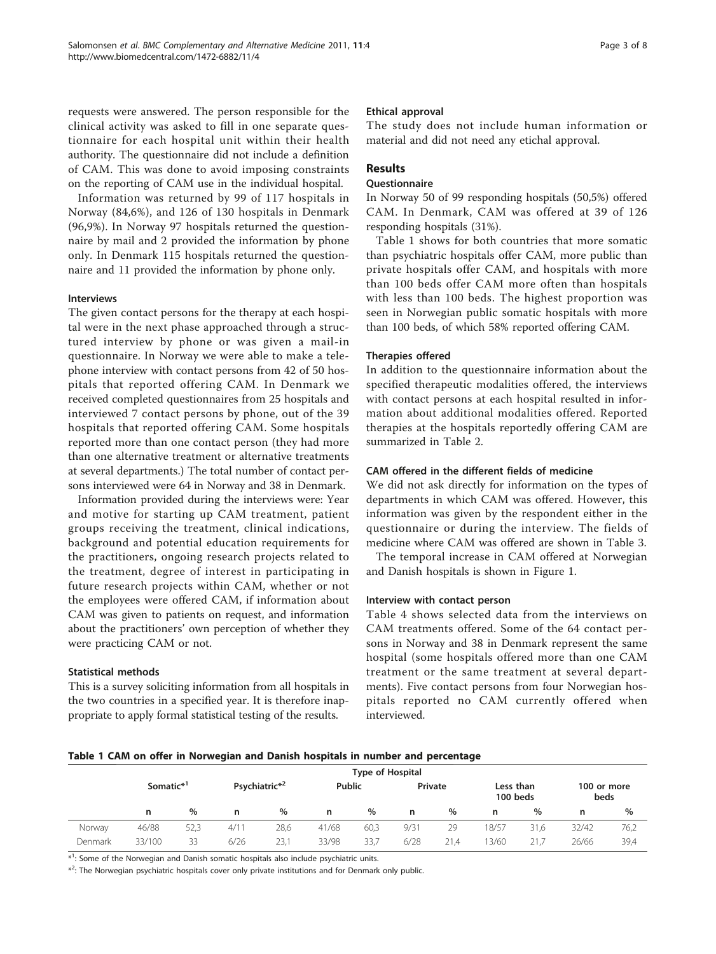requests were answered. The person responsible for the clinical activity was asked to fill in one separate questionnaire for each hospital unit within their health authority. The questionnaire did not include a definition of CAM. This was done to avoid imposing constraints on the reporting of CAM use in the individual hospital.

Information was returned by 99 of 117 hospitals in Norway (84,6%), and 126 of 130 hospitals in Denmark (96,9%). In Norway 97 hospitals returned the questionnaire by mail and 2 provided the information by phone only. In Denmark 115 hospitals returned the questionnaire and 11 provided the information by phone only.

#### Interviews

The given contact persons for the therapy at each hospital were in the next phase approached through a structured interview by phone or was given a mail-in questionnaire. In Norway we were able to make a telephone interview with contact persons from 42 of 50 hospitals that reported offering CAM. In Denmark we received completed questionnaires from 25 hospitals and interviewed 7 contact persons by phone, out of the 39 hospitals that reported offering CAM. Some hospitals reported more than one contact person (they had more than one alternative treatment or alternative treatments at several departments.) The total number of contact persons interviewed were 64 in Norway and 38 in Denmark.

Information provided during the interviews were: Year and motive for starting up CAM treatment, patient groups receiving the treatment, clinical indications, background and potential education requirements for the practitioners, ongoing research projects related to the treatment, degree of interest in participating in future research projects within CAM, whether or not the employees were offered CAM, if information about CAM was given to patients on request, and information about the practitioners' own perception of whether they were practicing CAM or not.

## Statistical methods

This is a survey soliciting information from all hospitals in the two countries in a specified year. It is therefore inappropriate to apply formal statistical testing of the results.

## Ethical approval

The study does not include human information or material and did not need any etichal approval.

## Results

## Questionnaire

In Norway 50 of 99 responding hospitals (50,5%) offered CAM. In Denmark, CAM was offered at 39 of 126 responding hospitals (31%).

Table 1 shows for both countries that more somatic than psychiatric hospitals offer CAM, more public than private hospitals offer CAM, and hospitals with more than 100 beds offer CAM more often than hospitals with less than 100 beds. The highest proportion was seen in Norwegian public somatic hospitals with more than 100 beds, of which 58% reported offering CAM.

#### Therapies offered

In addition to the questionnaire information about the specified therapeutic modalities offered, the interviews with contact persons at each hospital resulted in information about additional modalities offered. Reported therapies at the hospitals reportedly offering CAM are summarized in Table [2.](#page-3-0)

## CAM offered in the different fields of medicine

We did not ask directly for information on the types of departments in which CAM was offered. However, this information was given by the respondent either in the questionnaire or during the interview. The fields of medicine where CAM was offered are shown in Table [3.](#page-3-0)

The temporal increase in CAM offered at Norwegian and Danish hospitals is shown in Figure [1.](#page-4-0)

## Interview with contact person

Table [4](#page-4-0) shows selected data from the interviews on CAM treatments offered. Some of the 64 contact persons in Norway and 38 in Denmark represent the same hospital (some hospitals offered more than one CAM treatment or the same treatment at several departments). Five contact persons from four Norwegian hospitals reported no CAM currently offered when interviewed.

#### Table 1 CAM on offer in Norwegian and Danish hospitals in number and percentage

|         | Type of Hospital      |      |                           |      |        |      |         |      |                       |               |                     |      |
|---------|-----------------------|------|---------------------------|------|--------|------|---------|------|-----------------------|---------------|---------------------|------|
|         | Somatic* <sup>1</sup> |      | Psychiatric <sup>*2</sup> |      | Public |      | Private |      | Less than<br>100 beds |               | 100 or more<br>beds |      |
|         | n                     | $\%$ | n                         | %    | n      | $\%$ | n       | $\%$ | n                     | $\frac{0}{0}$ | n                   | $\%$ |
| Norway  | 46/88                 | 52,3 | 4/11                      | 28,6 | 41/68  | 60,3 | 9/31    | 29   | 18/57                 | 31.6          | 32/42               | 76,2 |
| Denmark | 33/100                | 33   | 6/26                      | 23,1 | 33/98  | 33,7 | 6/28    | 21.4 | 3/60                  | 21.7          | 26/66               | 39,4 |

\*<sup>1</sup>: Some of the Norwegian and Danish somatic hospitals also include psychiatric units.

 $*^{2}$ : The Norwegian psychiatric hospitals cover only private institutions and for Denmark only public.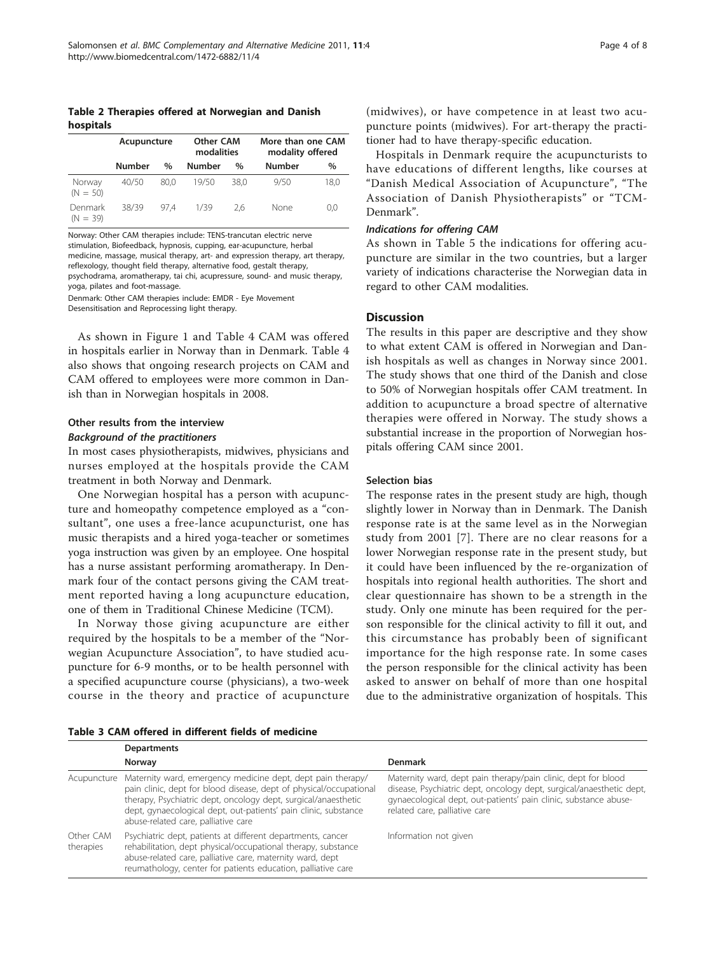<span id="page-3-0"></span>Table 2 Therapies offered at Norwegian and Danish hospitals

|                       | Acupuncture |               | <b>Other CAM</b><br>modalities |      | More than one CAM<br>modality offered |      |  |
|-----------------------|-------------|---------------|--------------------------------|------|---------------------------------------|------|--|
|                       | Number      | $\frac{0}{0}$ | Number                         | $\%$ | <b>Number</b>                         | $\%$ |  |
| Norway<br>$(N = 50)$  | 40/50       | 80.0          | 19/50                          | 38.0 | 9/50                                  | 18.0 |  |
| Denmark<br>$(N = 39)$ | 38/39       | 97.4          | 1/39                           | 2.6  | None                                  | 0.0  |  |

Norway: Other CAM therapies include: TENS-trancutan electric nerve stimulation, Biofeedback, hypnosis, cupping, ear-acupuncture, herbal medicine, massage, musical therapy, art- and expression therapy, art therapy, reflexology, thought field therapy, alternative food, gestalt therapy, psychodrama, aromatherapy, tai chi, acupressure, sound- and music therapy, yoga, pilates and foot-massage.

Denmark: Other CAM therapies include: EMDR - Eye Movement Desensitisation and Reprocessing light therapy.

As shown in Figure [1](#page-4-0) and Table [4](#page-4-0) CAM was offered in hospitals earlier in Norway than in Denmark. Table [4](#page-4-0) also shows that ongoing research projects on CAM and CAM offered to employees were more common in Danish than in Norwegian hospitals in 2008.

## Other results from the interview Background of the practitioners

In most cases physiotherapists, midwives, physicians and nurses employed at the hospitals provide the CAM treatment in both Norway and Denmark.

One Norwegian hospital has a person with acupuncture and homeopathy competence employed as a "consultant", one uses a free-lance acupuncturist, one has music therapists and a hired yoga-teacher or sometimes yoga instruction was given by an employee. One hospital has a nurse assistant performing aromatherapy. In Denmark four of the contact persons giving the CAM treatment reported having a long acupuncture education, one of them in Traditional Chinese Medicine (TCM).

In Norway those giving acupuncture are either required by the hospitals to be a member of the "Norwegian Acupuncture Association", to have studied acupuncture for 6-9 months, or to be health personnel with a specified acupuncture course (physicians), a two-week course in the theory and practice of acupuncture (midwives), or have competence in at least two acupuncture points (midwives). For art-therapy the practitioner had to have therapy-specific education.

Hospitals in Denmark require the acupuncturists to have educations of different lengths, like courses at "Danish Medical Association of Acupuncture", "The Association of Danish Physiotherapists" or "TCM-Denmark".

## Indications for offering CAM

As shown in Table [5](#page-5-0) the indications for offering acupuncture are similar in the two countries, but a larger variety of indications characterise the Norwegian data in regard to other CAM modalities.

## **Discussion**

The results in this paper are descriptive and they show to what extent CAM is offered in Norwegian and Danish hospitals as well as changes in Norway since 2001. The study shows that one third of the Danish and close to 50% of Norwegian hospitals offer CAM treatment. In addition to acupuncture a broad spectre of alternative therapies were offered in Norway. The study shows a substantial increase in the proportion of Norwegian hospitals offering CAM since 2001.

## Selection bias

The response rates in the present study are high, though slightly lower in Norway than in Denmark. The Danish response rate is at the same level as in the Norwegian study from 2001 [\[7](#page-7-0)]. There are no clear reasons for a lower Norwegian response rate in the present study, but it could have been influenced by the re-organization of hospitals into regional health authorities. The short and clear questionnaire has shown to be a strength in the study. Only one minute has been required for the person responsible for the clinical activity to fill it out, and this circumstance has probably been of significant importance for the high response rate. In some cases the person responsible for the clinical activity has been asked to answer on behalf of more than one hospital due to the administrative organization of hospitals. This

Table 3 CAM offered in different fields of medicine

|                        | <b>Departments</b>                                                                                                                                                                                                                                                                                                        |                                                                                                                                                                                                                                            |  |  |  |
|------------------------|---------------------------------------------------------------------------------------------------------------------------------------------------------------------------------------------------------------------------------------------------------------------------------------------------------------------------|--------------------------------------------------------------------------------------------------------------------------------------------------------------------------------------------------------------------------------------------|--|--|--|
|                        | Norway                                                                                                                                                                                                                                                                                                                    | <b>Denmark</b>                                                                                                                                                                                                                             |  |  |  |
|                        | Acupuncture Maternity ward, emergency medicine dept, dept pain therapy/<br>pain clinic, dept for blood disease, dept of physical/occupational<br>therapy, Psychiatric dept, oncology dept, surgical/anaesthetic<br>dept, gynaecological dept, out-patients' pain clinic, substance<br>abuse-related care, palliative care | Maternity ward, dept pain therapy/pain clinic, dept for blood<br>disease, Psychiatric dept, oncology dept, surgical/anaesthetic dept,<br>gynaecological dept, out-patients' pain clinic, substance abuse-<br>related care, palliative care |  |  |  |
| Other CAM<br>therapies | Psychiatric dept, patients at different departments, cancer<br>rehabilitation, dept physical/occupational therapy, substance<br>abuse-related care, palliative care, maternity ward, dept<br>reumathology, center for patients education, palliative care                                                                 | Information not given                                                                                                                                                                                                                      |  |  |  |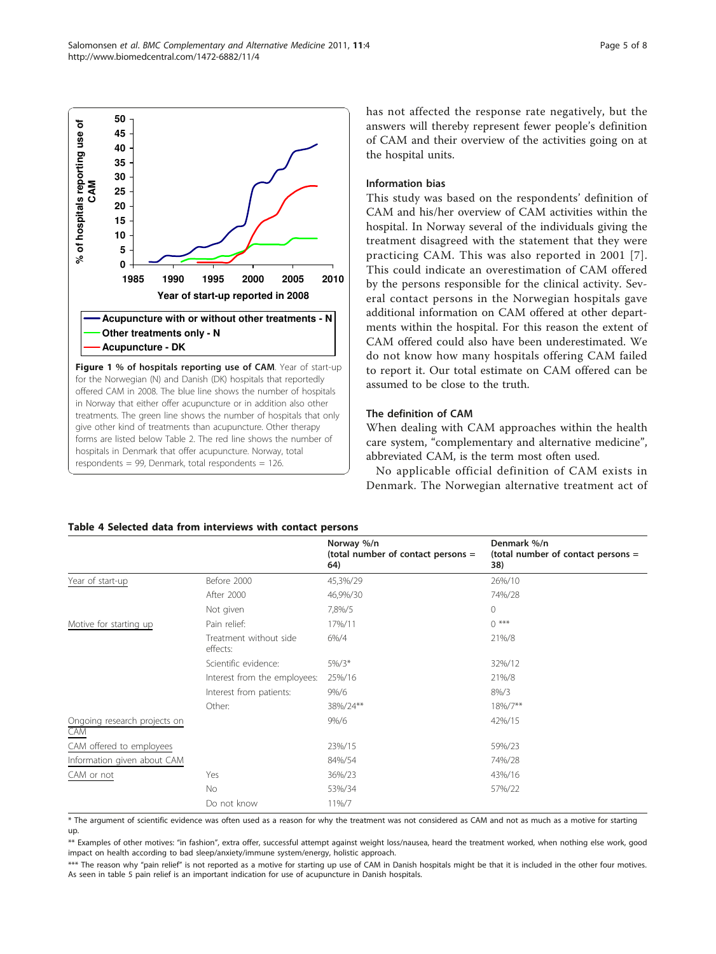Figure 1 % of hospitals reporting use of CAM. Year of start-up for the Norwegian (N) and Danish (DK) hospitals that reportedly offered CAM in 2008. The blue line shows the number of hospitals in Norway that either offer acupuncture or in addition also other treatments. The green line shows the number of hospitals that only give other kind of treatments than acupuncture. Other therapy forms are listed below Table 2. The red line shows the number of hospitals in Denmark that offer acupuncture. Norway, total respondents = 99, Denmark, total respondents = 126.

has not affected the response rate negatively, but the answers will thereby represent fewer people's definition of CAM and their overview of the activities going on at the hospital units.

#### Information bias

This study was based on the respondents' definition of CAM and his/her overview of CAM activities within the hospital. In Norway several of the individuals giving the treatment disagreed with the statement that they were practicing CAM. This was also reported in 2001 [[7\]](#page-7-0). This could indicate an overestimation of CAM offered by the persons responsible for the clinical activity. Several contact persons in the Norwegian hospitals gave additional information on CAM offered at other departments within the hospital. For this reason the extent of CAM offered could also have been underestimated. We do not know how many hospitals offering CAM failed to report it. Our total estimate on CAM offered can be assumed to be close to the truth.

## The definition of CAM

(total number of contact persons =

6%/4 21%/8

9%/6 42%/15

When dealing with CAM approaches within the health care system, "complementary and alternative medicine", abbreviated CAM, is the term most often used.

No applicable official definition of CAM exists in Denmark. The Norwegian alternative treatment act of

Denmark %/n

38)

(total number of contact persons =

#### Table 4 Selected data from interviews with contact persons

effects:

Ongoing research projects on

CAM

\* The argument of scientific evidence was often used as a reason for why the treatment was not considered as CAM and not as much as a motive for starting up.

Norway %/n

After 2000 16,9%/30 46,9%/30 Not given 7,8%/5 0

Scientific evidence:  $5\%/3^*$  32%/12 Interest from the employees: 25%/16 21%/8 Interest from patients: 9%/6 8%/3 Other: 38%/24\*\* 38%/24 18%/7\*\*

64)

Year of start-up Before 2000 45,3%/29 45,3% 46,39% 45,3% 45,3% 45,3% 26%/10

Motive for starting up  $\frac{17\%}{17\%}/11$  0 \*\*\*

CAM offered to employees 23%/15 59%/23 Information given about CAM 84%/54 74%/28  $CAM$  or not  $Y$ es  $X = \frac{36\%}{23}$  43%/16

Do not know 11%/7

Treatment without side

\*\* Examples of other motives: "in fashion", extra offer, successful attempt against weight loss/nausea, heard the treatment worked, when nothing else work, good impact on health according to bad sleep/anxiety/immune system/energy, holistic approach.

No 53%/34 57%/22

\*\*\* The reason why "pain relief" is not reported as a motive for starting up use of CAM in Danish hospitals might be that it is included in the other four motives. As seen in table 5 pain relief is an important indication for use of acupuncture in Danish hospitals.

|                                        | 50                                                                                                                                |      |      |                                   |      |      |
|----------------------------------------|-----------------------------------------------------------------------------------------------------------------------------------|------|------|-----------------------------------|------|------|
|                                        | 45                                                                                                                                |      |      |                                   |      |      |
|                                        | 40                                                                                                                                |      |      |                                   |      |      |
|                                        | 35                                                                                                                                |      |      |                                   |      |      |
|                                        | 30                                                                                                                                |      |      |                                   |      |      |
|                                        | 25                                                                                                                                |      |      |                                   |      |      |
|                                        | 20                                                                                                                                |      |      |                                   |      |      |
|                                        | 15                                                                                                                                |      |      |                                   |      |      |
|                                        | 10                                                                                                                                |      |      |                                   |      |      |
| % of hospitals reporting use of<br>CAM | 5                                                                                                                                 |      |      |                                   |      |      |
|                                        | 0                                                                                                                                 |      |      |                                   |      |      |
|                                        | 1985                                                                                                                              | 1990 | 1995 | 2000                              | 2005 | 2010 |
|                                        |                                                                                                                                   |      |      | Year of start-up reported in 2008 |      |      |
|                                        | Acupuncture with or without other treatments - N                                                                                  |      |      |                                   |      |      |
|                                        | Other treatments only - N                                                                                                         |      |      |                                   |      |      |
|                                        | <b>Acupuncture - DK</b>                                                                                                           |      |      |                                   |      |      |
|                                        | Figure 1 % of hospitals reporting use of CAM. Year of start-up<br>for the Norwegian (N) and Danish (DK) hospitals that reportedly |      |      |                                   |      |      |
|                                        | offered CAM in 2008. The blue line shows the number of hospitals                                                                  |      |      |                                   |      |      |

<span id="page-4-0"></span>http://www.biomedcentral.com/1472-6882/11/4

Salomonsen et al. BMC Complementary and Alternative Medicine 2011, 11:4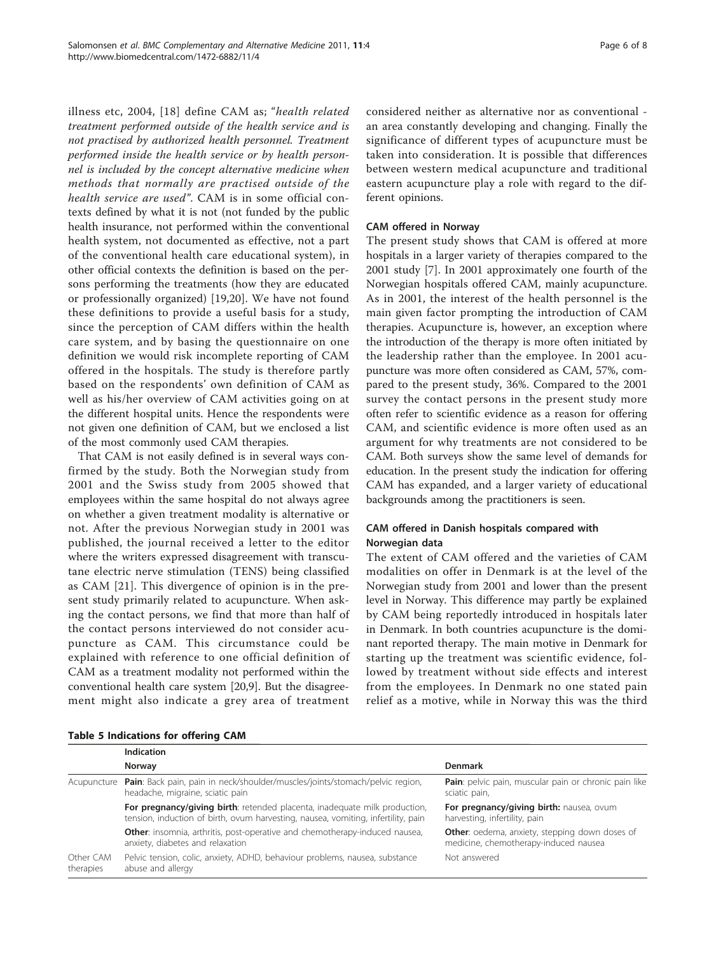<span id="page-5-0"></span>illness etc, 2004, [\[18\]](#page-7-0) define CAM as; "health related treatment performed outside of the health service and is not practised by authorized health personnel. Treatment performed inside the health service or by health personnel is included by the concept alternative medicine when methods that normally are practised outside of the health service are used". CAM is in some official contexts defined by what it is not (not funded by the public health insurance, not performed within the conventional health system, not documented as effective, not a part of the conventional health care educational system), in other official contexts the definition is based on the persons performing the treatments (how they are educated or professionally organized) [[19,20\]](#page-7-0). We have not found these definitions to provide a useful basis for a study, since the perception of CAM differs within the health care system, and by basing the questionnaire on one definition we would risk incomplete reporting of CAM offered in the hospitals. The study is therefore partly based on the respondents' own definition of CAM as well as his/her overview of CAM activities going on at the different hospital units. Hence the respondents were not given one definition of CAM, but we enclosed a list of the most commonly used CAM therapies.

That CAM is not easily defined is in several ways confirmed by the study. Both the Norwegian study from 2001 and the Swiss study from 2005 showed that employees within the same hospital do not always agree on whether a given treatment modality is alternative or not. After the previous Norwegian study in 2001 was published, the journal received a letter to the editor where the writers expressed disagreement with transcutane electric nerve stimulation (TENS) being classified as CAM [\[21](#page-7-0)]. This divergence of opinion is in the present study primarily related to acupuncture. When asking the contact persons, we find that more than half of the contact persons interviewed do not consider acupuncture as CAM. This circumstance could be explained with reference to one official definition of CAM as a treatment modality not performed within the conventional health care system [[20,9\]](#page-7-0). But the disagreement might also indicate a grey area of treatment

| considered neither as alternative nor as conventional -   |
|-----------------------------------------------------------|
| an area constantly developing and changing. Finally the   |
| significance of different types of acupuncture must be    |
| taken into consideration. It is possible that differences |
| between western medical acupuncture and traditional       |
| eastern acupuncture play a role with regard to the dif-   |
| ferent opinions.                                          |

## CAM offered in Norway

The present study shows that CAM is offered at more hospitals in a larger variety of therapies compared to the 2001 study [\[7](#page-7-0)]. In 2001 approximately one fourth of the Norwegian hospitals offered CAM, mainly acupuncture. As in 2001, the interest of the health personnel is the main given factor prompting the introduction of CAM therapies. Acupuncture is, however, an exception where the introduction of the therapy is more often initiated by the leadership rather than the employee. In 2001 acupuncture was more often considered as CAM, 57%, compared to the present study, 36%. Compared to the 2001 survey the contact persons in the present study more often refer to scientific evidence as a reason for offering CAM, and scientific evidence is more often used as an argument for why treatments are not considered to be CAM. Both surveys show the same level of demands for education. In the present study the indication for offering CAM has expanded, and a larger variety of educational backgrounds among the practitioners is seen.

## CAM offered in Danish hospitals compared with Norwegian data

The extent of CAM offered and the varieties of CAM modalities on offer in Denmark is at the level of the Norwegian study from 2001 and lower than the present level in Norway. This difference may partly be explained by CAM being reportedly introduced in hospitals later in Denmark. In both countries acupuncture is the dominant reported therapy. The main motive in Denmark for starting up the treatment was scientific evidence, followed by treatment without side effects and interest from the employees. In Denmark no one stated pain relief as a motive, while in Norway this was the third

|                        | Indication                                                                                                                                                      |                                                                                                |  |  |  |  |
|------------------------|-----------------------------------------------------------------------------------------------------------------------------------------------------------------|------------------------------------------------------------------------------------------------|--|--|--|--|
|                        | Norway                                                                                                                                                          | Denmark                                                                                        |  |  |  |  |
|                        | Acupuncture Pain: Back pain, pain in neck/shoulder/muscles/joints/stomach/pelvic region,<br>headache, migraine, sciatic pain                                    | Pain: pelvic pain, muscular pain or chronic pain like<br>sciatic pain,                         |  |  |  |  |
|                        | For pregnancy/giving birth: retended placenta, inadequate milk production,<br>tension, induction of birth, ovum harvesting, nausea, vomiting, infertility, pain | For pregnancy/giving birth: nausea, ovum<br>harvesting, infertility, pain                      |  |  |  |  |
|                        | <b>Other:</b> insomnia, arthritis, post-operative and chemotherapy-induced nausea,<br>anxiety, diabetes and relaxation                                          | <b>Other:</b> oedema, anxiety, stepping down doses of<br>medicine, chemotherapy-induced nausea |  |  |  |  |
| Other CAM<br>therapies | Pelvic tension, colic, anxiety, ADHD, behaviour problems, nausea, substance<br>abuse and allergy                                                                | Not answered                                                                                   |  |  |  |  |

Table 5 Indications for offering CAM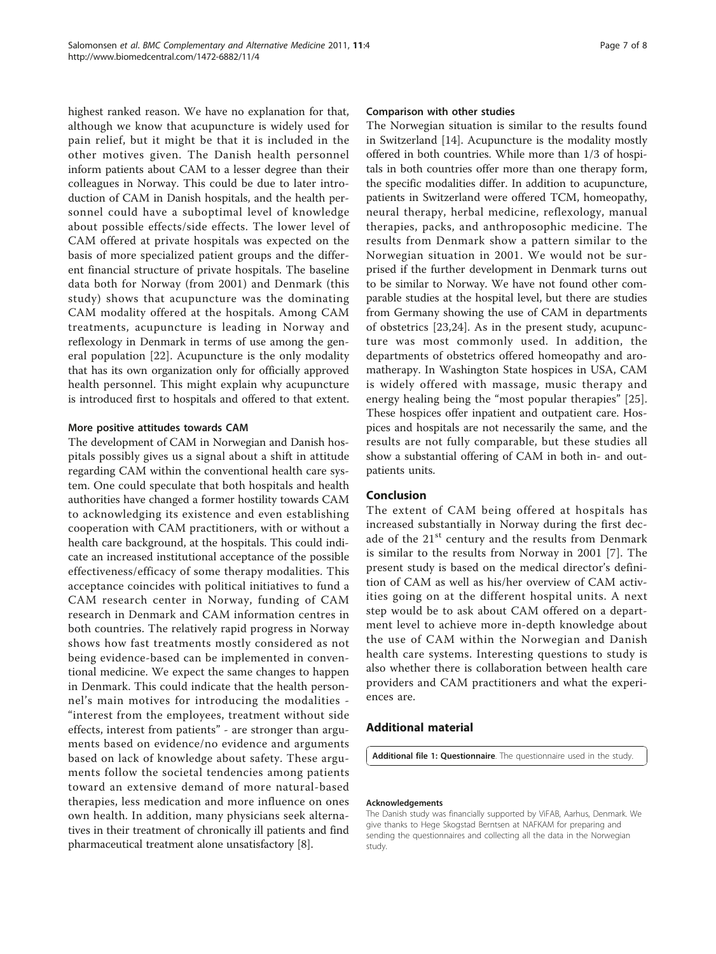<span id="page-6-0"></span>highest ranked reason. We have no explanation for that, although we know that acupuncture is widely used for pain relief, but it might be that it is included in the other motives given. The Danish health personnel inform patients about CAM to a lesser degree than their colleagues in Norway. This could be due to later introduction of CAM in Danish hospitals, and the health personnel could have a suboptimal level of knowledge about possible effects/side effects. The lower level of CAM offered at private hospitals was expected on the basis of more specialized patient groups and the different financial structure of private hospitals. The baseline data both for Norway (from 2001) and Denmark (this study) shows that acupuncture was the dominating CAM modality offered at the hospitals. Among CAM treatments, acupuncture is leading in Norway and reflexology in Denmark in terms of use among the general population [[22](#page-7-0)]. Acupuncture is the only modality that has its own organization only for officially approved health personnel. This might explain why acupuncture is introduced first to hospitals and offered to that extent.

## More positive attitudes towards CAM

The development of CAM in Norwegian and Danish hospitals possibly gives us a signal about a shift in attitude regarding CAM within the conventional health care system. One could speculate that both hospitals and health authorities have changed a former hostility towards CAM to acknowledging its existence and even establishing cooperation with CAM practitioners, with or without a health care background, at the hospitals. This could indicate an increased institutional acceptance of the possible effectiveness/efficacy of some therapy modalities. This acceptance coincides with political initiatives to fund a CAM research center in Norway, funding of CAM research in Denmark and CAM information centres in both countries. The relatively rapid progress in Norway shows how fast treatments mostly considered as not being evidence-based can be implemented in conventional medicine. We expect the same changes to happen in Denmark. This could indicate that the health personnel's main motives for introducing the modalities - "interest from the employees, treatment without side effects, interest from patients" - are stronger than arguments based on evidence/no evidence and arguments based on lack of knowledge about safety. These arguments follow the societal tendencies among patients toward an extensive demand of more natural-based therapies, less medication and more influence on ones own health. In addition, many physicians seek alternatives in their treatment of chronically ill patients and find pharmaceutical treatment alone unsatisfactory [\[8](#page-7-0)].

## Comparison with other studies

The Norwegian situation is similar to the results found in Switzerland [\[14](#page-7-0)]. Acupuncture is the modality mostly offered in both countries. While more than 1/3 of hospitals in both countries offer more than one therapy form, the specific modalities differ. In addition to acupuncture, patients in Switzerland were offered TCM, homeopathy, neural therapy, herbal medicine, reflexology, manual therapies, packs, and anthroposophic medicine. The results from Denmark show a pattern similar to the Norwegian situation in 2001. We would not be surprised if the further development in Denmark turns out to be similar to Norway. We have not found other comparable studies at the hospital level, but there are studies from Germany showing the use of CAM in departments of obstetrics [\[23](#page-7-0),[24\]](#page-7-0). As in the present study, acupuncture was most commonly used. In addition, the departments of obstetrics offered homeopathy and aromatherapy. In Washington State hospices in USA, CAM is widely offered with massage, music therapy and energy healing being the "most popular therapies" [\[25](#page-7-0)]. These hospices offer inpatient and outpatient care. Hospices and hospitals are not necessarily the same, and the results are not fully comparable, but these studies all show a substantial offering of CAM in both in- and outpatients units.

## Conclusion

The extent of CAM being offered at hospitals has increased substantially in Norway during the first decade of the 21<sup>st</sup> century and the results from Denmark is similar to the results from Norway in 2001 [[7\]](#page-7-0). The present study is based on the medical director's definition of CAM as well as his/her overview of CAM activities going on at the different hospital units. A next step would be to ask about CAM offered on a department level to achieve more in-depth knowledge about the use of CAM within the Norwegian and Danish health care systems. Interesting questions to study is also whether there is collaboration between health care providers and CAM practitioners and what the experiences are.

## Additional material

[Additional file 1: Q](http://www.biomedcentral.com/content/supplementary/1472-6882-11-4-S1.DOC)uestionnaire. The questionnaire used in the study

#### Acknowledgements

The Danish study was financially supported by ViFAB, Aarhus, Denmark. We give thanks to Hege Skogstad Berntsen at NAFKAM for preparing and sending the questionnaires and collecting all the data in the Norwegian study.